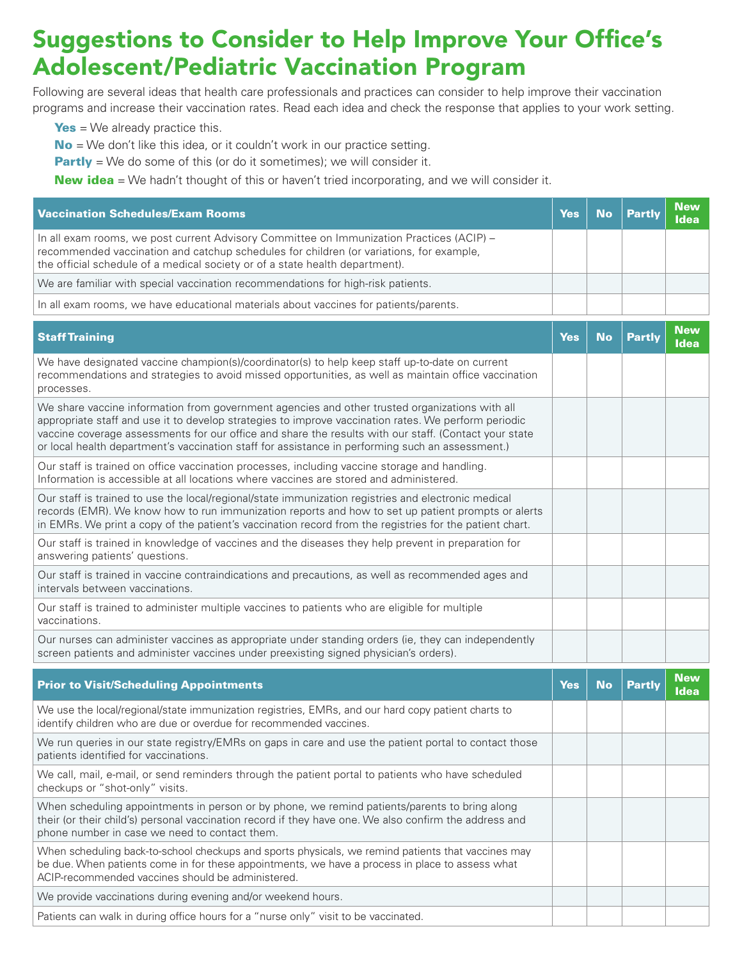## Suggestions to Consider to Help Improve Your Office's Adolescent/Pediatric Vaccination Program

Following are several ideas that health care professionals and practices can consider to help improve their vaccination programs and increase their vaccination rates. Read each idea and check the response that applies to your work setting.

 $Yes = We already practice this.$ 

 $No = We don't like this idea, or it couldn't work in our practice setting.$ 

**Partly** = We do some of this (or do it sometimes); we will consider it.

**New idea** = We hadn't thought of this or haven't tried incorporating, and we will consider it.

| <b>Vaccination Schedules/Exam Rooms</b>                                                                                                                                                                                                                                                                                                                                                                             | <b>Yes</b> | <b>No</b> | <b>Partly</b> | <b>New</b><br><b>Idea</b> |
|---------------------------------------------------------------------------------------------------------------------------------------------------------------------------------------------------------------------------------------------------------------------------------------------------------------------------------------------------------------------------------------------------------------------|------------|-----------|---------------|---------------------------|
| In all exam rooms, we post current Advisory Committee on Immunization Practices (ACIP) -<br>recommended vaccination and catchup schedules for children (or variations, for example,<br>the official schedule of a medical society or of a state health department).                                                                                                                                                 |            |           |               |                           |
| We are familiar with special vaccination recommendations for high-risk patients.                                                                                                                                                                                                                                                                                                                                    |            |           |               |                           |
| In all exam rooms, we have educational materials about vaccines for patients/parents.                                                                                                                                                                                                                                                                                                                               |            |           |               |                           |
| <b>Staff Training</b>                                                                                                                                                                                                                                                                                                                                                                                               | <b>Yes</b> | <b>No</b> | <b>Partly</b> | <b>New</b><br><b>Idea</b> |
| We have designated vaccine champion(s)/coordinator(s) to help keep staff up-to-date on current<br>recommendations and strategies to avoid missed opportunities, as well as maintain office vaccination<br>processes.                                                                                                                                                                                                |            |           |               |                           |
| We share vaccine information from government agencies and other trusted organizations with all<br>appropriate staff and use it to develop strategies to improve vaccination rates. We perform periodic<br>vaccine coverage assessments for our office and share the results with our staff. (Contact your state<br>or local health department's vaccination staff for assistance in performing such an assessment.) |            |           |               |                           |
| Our staff is trained on office vaccination processes, including vaccine storage and handling.<br>Information is accessible at all locations where vaccines are stored and administered.                                                                                                                                                                                                                             |            |           |               |                           |
| Our staff is trained to use the local/regional/state immunization registries and electronic medical<br>records (EMR). We know how to run immunization reports and how to set up patient prompts or alerts<br>in EMRs. We print a copy of the patient's vaccination record from the registries for the patient chart.                                                                                                |            |           |               |                           |
| Our staff is trained in knowledge of vaccines and the diseases they help prevent in preparation for<br>answering patients' questions.                                                                                                                                                                                                                                                                               |            |           |               |                           |
| Our staff is trained in vaccine contraindications and precautions, as well as recommended ages and<br>intervals between vaccinations.                                                                                                                                                                                                                                                                               |            |           |               |                           |
| Our staff is trained to administer multiple vaccines to patients who are eligible for multiple<br>vaccinations.                                                                                                                                                                                                                                                                                                     |            |           |               |                           |
| Our nurses can administer vaccines as appropriate under standing orders (ie, they can independently<br>screen patients and administer vaccines under preexisting signed physician's orders).                                                                                                                                                                                                                        |            |           |               |                           |
| <b>Prior to Visit/Scheduling Appointments</b>                                                                                                                                                                                                                                                                                                                                                                       | <b>Yes</b> | <b>No</b> | <b>Partly</b> | <b>New</b><br><b>Idea</b> |
| We use the local/regional/state immunization registries, EMRs, and our hard copy patient charts to<br>identify children who are due or overdue for recommended vaccines.                                                                                                                                                                                                                                            |            |           |               |                           |
| We run queries in our state registry/EMRs on gaps in care and use the patient portal to contact those                                                                                                                                                                                                                                                                                                               |            |           |               |                           |

patients identified for vaccinations.

We call, mail, e-mail, or send reminders through the patient portal to patients who have scheduled checkups or "shot-only" visits.

When scheduling appointments in person or by phone, we remind patients/parents to bring along their (or their child's) personal vaccination record if they have one. We also confirm the address and phone number in case we need to contact them. When scheduling back-to-school checkups and sports physicals, we remind patients that vaccines may

be due. When patients come in for these appointments, we have a process in place to assess what ACIP-recommended vaccines should be administered.

We provide vaccinations during evening and/or weekend hours.

Patients can walk in during office hours for a "nurse only" visit to be vaccinated.